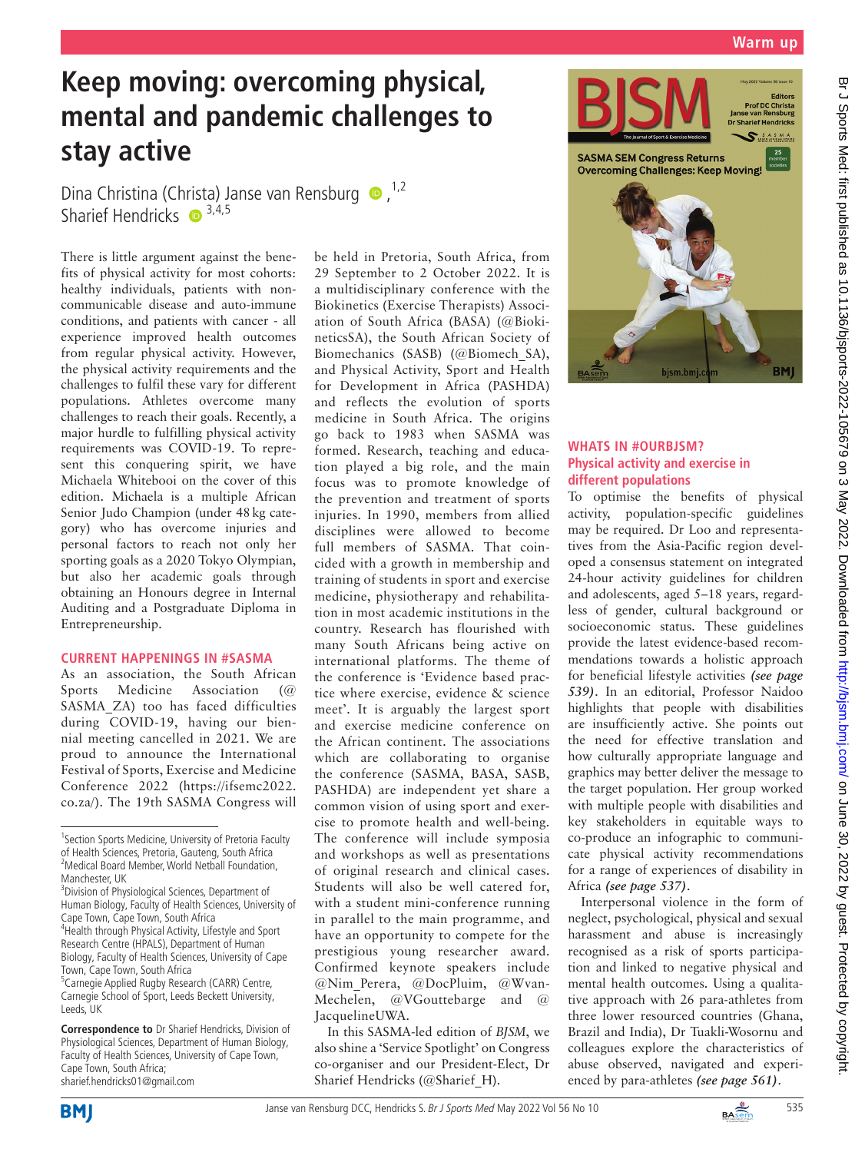# **Keep moving: overcoming physical, mental and pandemic challenges to stay active**

Dina Christina (Christa) Janse van Rensburg  $\bullet$ .<sup>1,2</sup> Sharief Hendricks  $\bullet$  3,4,5

There is little argument against the benefits of physical activity for most cohorts: healthy individuals, patients with noncommunicable disease and auto-immune conditions, and patients with cancer - all experience improved health outcomes from regular physical activity. However, the physical activity requirements and the challenges to fulfil these vary for different populations. Athletes overcome many challenges to reach their goals. Recently, a major hurdle to fulfilling physical activity requirements was COVID-19. To represent this conquering spirit, we have Michaela Whitebooi on the cover of this edition. Michaela is a multiple African Senior Judo Champion (under 48kg category) who has overcome injuries and personal factors to reach not only her sporting goals as a 2020 Tokyo Olympian, but also her academic goals through obtaining an Honours degree in Internal Auditing and a Postgraduate Diploma in Entrepreneurship.

# **CURRENT HAPPENINGS IN #SASMA**

As an association, the South African Sports Medicine Association (@ SASMA\_ZA) too has faced difficulties during COVID-19, having our biennial meeting cancelled in 2021. We are proud to announce the International Festival of Sports, Exercise and Medicine Conference 2022 [\(https://ifsemc2022.](https://ifsemc2022.co.za/) [co.za/](https://ifsemc2022.co.za/)). The 19th SASMA Congress will

**Correspondence to** Dr Sharief Hendricks, Division of Physiological Sciences, Department of Human Biology, Faculty of Health Sciences, University of Cape Town, Cape Town, South Africa; sharief.hendricks01@gmail.com

be held in Pretoria, South Africa, from 29 September to 2 October 2022. It is a multidisciplinary conference with the Biokinetics (Exercise Therapists) Association of South Africa (BASA) (@BiokineticsSA), the South African Society of Biomechanics (SASB) (@Biomech\_SA), and Physical Activity, Sport and Health for Development in Africa (PASHDA) and reflects the evolution of sports medicine in South Africa. The origins go back to 1983 when SASMA was formed. Research, teaching and education played a big role, and the main focus was to promote knowledge of the prevention and treatment of sports injuries. In 1990, members from allied disciplines were allowed to become full members of SASMA. That coincided with a growth in membership and training of students in sport and exercise medicine, physiotherapy and rehabilitation in most academic institutions in the country. Research has flourished with many South Africans being active on international platforms. The theme of the conference is 'Evidence based practice where exercise, evidence & science meet'. It is arguably the largest sport and exercise medicine conference on the African continent. The associations which are collaborating to organise the conference (SASMA, BASA, SASB, PASHDA) are independent yet share a common vision of using sport and exercise to promote health and well-being. The conference will include symposia and workshops as well as presentations of original research and clinical cases. Students will also be well catered for, with a student mini-conference running in parallel to the main programme, and have an opportunity to compete for the prestigious young researcher award. Confirmed keynote speakers include @Nim\_Perera, @DocPluim, @Wvan-Mechelen, @VGouttebarge and @ JacquelineUWA.

In this SASMA-led edition of *BJSM*, we also shine a 'Service Spotlight' on Congress co-organiser and our President-Elect, Dr Sharief Hendricks (@Sharief\_H).



# **WHATS IN #OURBJSM? Physical activity and exercise in different populations**

To optimise the benefits of physical activity, population-specific guidelines may be required. Dr Loo and representatives from the Asia-Pacific region developed a consensus statement on integrated 24-hour activity guidelines for children and adolescents, aged 5–18 years, regardless of gender, cultural background or socioeconomic status. These guidelines provide the latest evidence-based recommendations towards a holistic approach for beneficial lifestyle activities *(see page 539)*. In an editorial, Professor Naidoo highlights that people with disabilities are insufficiently active. She points out the need for effective translation and how culturally appropriate language and graphics may better deliver the message to the target population. Her group worked with multiple people with disabilities and key stakeholders in equitable ways to co-produce an infographic to communicate physical activity recommendations for a range of experiences of disability in Africa *(see page 537)*.

Interpersonal violence in the form of neglect, psychological, physical and sexual harassment and abuse is increasingly recognised as a risk of sports participation and linked to negative physical and mental health outcomes. Using a qualitative approach with 26 para-athletes from three lower resourced countries (Ghana, Brazil and India), Dr Tuakli-Wosornu and colleagues explore the characteristics of abuse observed, navigated and experienced by para-athletes *(see page 561)*.





<sup>&</sup>lt;sup>1</sup> Section Sports Medicine, University of Pretoria Faculty of Health Sciences, Pretoria, Gauteng, South Africa <sup>2</sup>Medical Board Member, World Netball Foundation, Manchester, UK

<sup>&</sup>lt;sup>3</sup> Division of Physiological Sciences, Department of Human Biology, Faculty of Health Sciences, University of Cape Town, Cape Town, South Africa 4 Health through Physical Activity, Lifestyle and Sport Research Centre (HPALS), Department of Human Biology, Faculty of Health Sciences, University of Cape Town, Cape Town, South Africa <sup>5</sup> Carnegie Applied Rugby Research (CARR) Centre,

Carnegie School of Sport, Leeds Beckett University, Leeds, UK